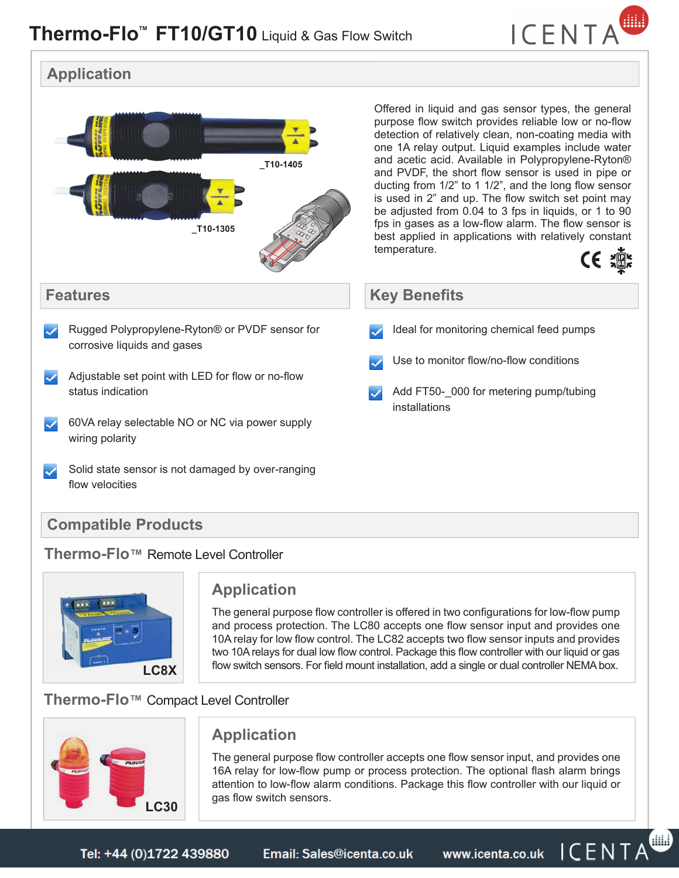

CE :

編



#### **Thermo-Flo™** Remote Level Controller



### **Application**

The general purpose flow controller is offered in two configurations for low-flow pump and process protection. The LC80 accepts one flow sensor input and provides one 10A relay for low flow control. The LC82 accepts two flow sensor inputs and provides two 10A relays for dual low flow control. Package this flow controller with our liquid or gas flow switch sensors. For field mount installation, add a single or dual controller NEMA box.

## **Thermo-Flo™** Compact Level Controller



## **Application**

The general purpose flow controller accepts one flow sensor input, and provides one 16A relay for low-flow pump or process protection. The optional flash alarm brings attention to low-flow alarm conditions. Package this flow controller with our liquid or gas flow switch sensors.